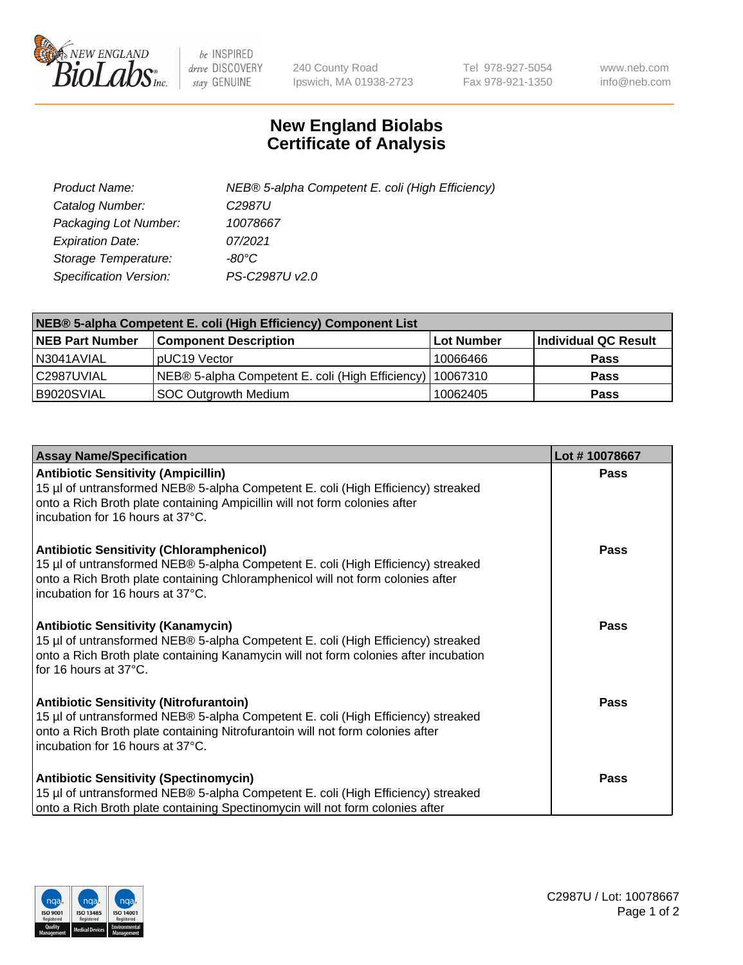

 $be$  INSPIRED drive DISCOVERY stay GENUINE

240 County Road Ipswich, MA 01938-2723 Tel 978-927-5054 Fax 978-921-1350 www.neb.com info@neb.com

## **New England Biolabs Certificate of Analysis**

| Product Name:           | NEB® 5-alpha Competent E. coli (High Efficiency) |
|-------------------------|--------------------------------------------------|
| Catalog Number:         | C <sub>2987</sub> U                              |
| Packaging Lot Number:   | 10078667                                         |
| <b>Expiration Date:</b> | 07/2021                                          |
| Storage Temperature:    | -80°C                                            |
| Specification Version:  | PS-C2987U v2.0                                   |

| NEB® 5-alpha Competent E. coli (High Efficiency) Component List |                                                             |            |                      |  |
|-----------------------------------------------------------------|-------------------------------------------------------------|------------|----------------------|--|
| <b>NEB Part Number</b>                                          | <b>Component Description</b>                                | Lot Number | Individual QC Result |  |
| N3041AVIAL                                                      | pUC19 Vector                                                | 10066466   | <b>Pass</b>          |  |
| C2987UVIAL                                                      | NEB® 5-alpha Competent E. coli (High Efficiency)   10067310 |            | <b>Pass</b>          |  |
| B9020SVIAL                                                      | SOC Outgrowth Medium                                        | 10062405   | <b>Pass</b>          |  |

| <b>Assay Name/Specification</b>                                                                                                                                                                                                                            | Lot #10078667 |
|------------------------------------------------------------------------------------------------------------------------------------------------------------------------------------------------------------------------------------------------------------|---------------|
| <b>Antibiotic Sensitivity (Ampicillin)</b><br>15 µl of untransformed NEB® 5-alpha Competent E. coli (High Efficiency) streaked<br>onto a Rich Broth plate containing Ampicillin will not form colonies after<br>incubation for 16 hours at 37°C.           | Pass          |
| <b>Antibiotic Sensitivity (Chloramphenicol)</b><br>15 µl of untransformed NEB® 5-alpha Competent E. coli (High Efficiency) streaked<br>onto a Rich Broth plate containing Chloramphenicol will not form colonies after<br>incubation for 16 hours at 37°C. | Pass          |
| <b>Antibiotic Sensitivity (Kanamycin)</b><br>15 µl of untransformed NEB® 5-alpha Competent E. coli (High Efficiency) streaked<br>onto a Rich Broth plate containing Kanamycin will not form colonies after incubation<br>for 16 hours at 37°C.             | Pass          |
| <b>Antibiotic Sensitivity (Nitrofurantoin)</b><br>15 µl of untransformed NEB® 5-alpha Competent E. coli (High Efficiency) streaked<br>onto a Rich Broth plate containing Nitrofurantoin will not form colonies after<br>incubation for 16 hours at 37°C.   | <b>Pass</b>   |
| <b>Antibiotic Sensitivity (Spectinomycin)</b><br>15 µl of untransformed NEB® 5-alpha Competent E. coli (High Efficiency) streaked<br>onto a Rich Broth plate containing Spectinomycin will not form colonies after                                         | Pass          |